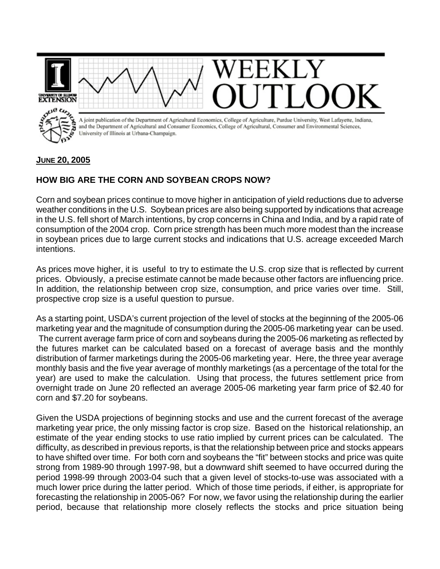

## **JUNE 20, 2005**

## **HOW BIG ARE THE CORN AND SOYBEAN CROPS NOW?**

Corn and soybean prices continue to move higher in anticipation of yield reductions due to adverse weather conditions in the U.S. Soybean prices are also being supported by indications that acreage in the U.S. fell short of March intentions, by crop concerns in China and India, and by a rapid rate of consumption of the 2004 crop. Corn price strength has been much more modest than the increase in soybean prices due to large current stocks and indications that U.S. acreage exceeded March intentions.

As prices move higher, it is useful to try to estimate the U.S. crop size that is reflected by current prices. Obviously, a precise estimate cannot be made because other factors are influencing price. In addition, the relationship between crop size, consumption, and price varies over time. Still, prospective crop size is a useful question to pursue.

As a starting point, USDA's current projection of the level of stocks at the beginning of the 2005-06 marketing year and the magnitude of consumption during the 2005-06 marketing year can be used. The current average farm price of corn and soybeans during the 2005-06 marketing as reflected by the futures market can be calculated based on a forecast of average basis and the monthly distribution of farmer marketings during the 2005-06 marketing year. Here, the three year average monthly basis and the five year average of monthly marketings (as a percentage of the total for the year) are used to make the calculation. Using that process, the futures settlement price from overnight trade on June 20 reflected an average 2005-06 marketing year farm price of \$2.40 for corn and \$7.20 for soybeans.

Given the USDA projections of beginning stocks and use and the current forecast of the average marketing year price, the only missing factor is crop size. Based on the historical relationship, an estimate of the year ending stocks to use ratio implied by current prices can be calculated. The difficulty, as described in previous reports, is that the relationship between price and stocks appears to have shifted over time. For both corn and soybeans the "fit" between stocks and price was quite strong from 1989-90 through 1997-98, but a downward shift seemed to have occurred during the period 1998-99 through 2003-04 such that a given level of stocks-to-use was associated with a much lower price during the latter period. Which of those time periods, if either, is appropriate for forecasting the relationship in 2005-06? For now, we favor using the relationship during the earlier period, because that relationship more closely reflects the stocks and price situation being